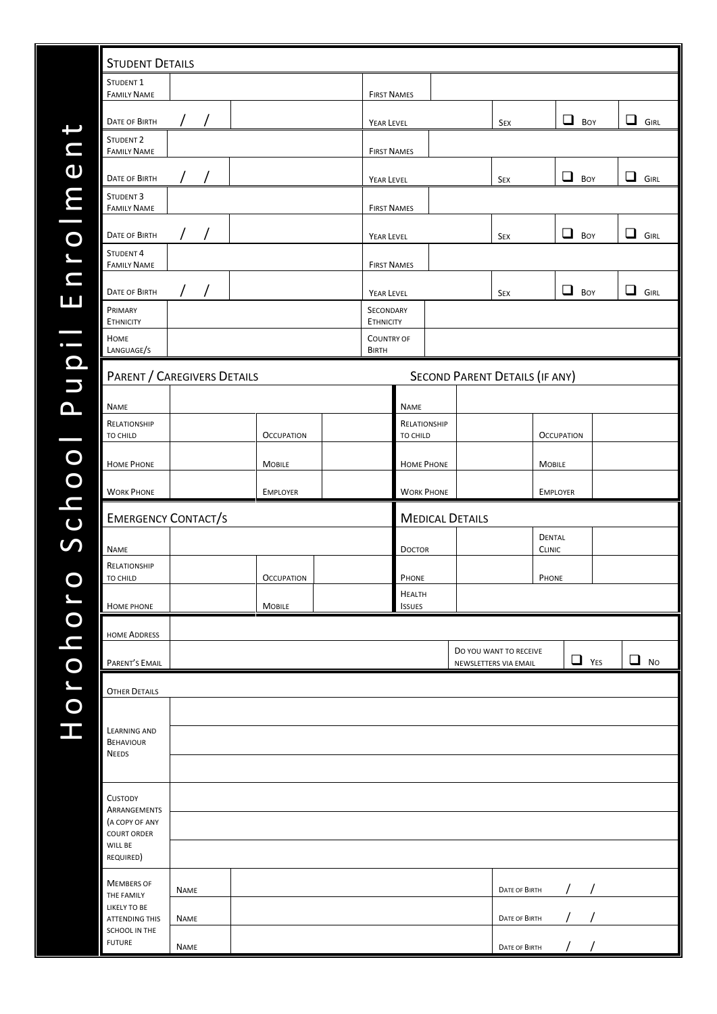| <b>STUDENT DETAILS</b>                                        |                        |                   |                   |                    |                                       |                          |                        |                                                 |                                                 |                                |   |            |             |             |
|---------------------------------------------------------------|------------------------|-------------------|-------------------|--------------------|---------------------------------------|--------------------------|------------------------|-------------------------------------------------|-------------------------------------------------|--------------------------------|---|------------|-------------|-------------|
| STUDENT <sub>1</sub><br><b>FAMILY NAME</b>                    |                        |                   |                   | <b>FIRST NAMES</b> |                                       |                          |                        |                                                 |                                                 |                                |   |            |             |             |
| <b>DATE OF BIRTH</b>                                          | $\left  \quad \right $ |                   |                   |                    |                                       |                          |                        |                                                 |                                                 |                                |   |            |             |             |
| STUDENT <sub>2</sub>                                          |                        |                   |                   |                    | YEAR LEVEL                            |                          |                        | $\Box$<br>◻<br>Boy<br><b>GIRL</b><br><b>SEX</b> |                                                 |                                |   |            |             |             |
| <b>FAMILY NAME</b>                                            |                        |                   |                   |                    | <b>FIRST NAMES</b>                    |                          |                        |                                                 |                                                 |                                |   |            |             |             |
| DATE OF BIRTH                                                 |                        |                   |                   |                    | YEAR LEVEL                            |                          |                        |                                                 | <b>SEX</b>                                      |                                | ❏ | BOY        | ப           | <b>GIRL</b> |
| STUDENT <sub>3</sub><br><b>FAMILY NAME</b>                    |                        |                   |                   |                    | <b>FIRST NAMES</b>                    |                          |                        |                                                 |                                                 |                                |   |            |             |             |
| DATE OF BIRTH                                                 | $\sqrt{2}$             |                   |                   |                    | YEAR LEVEL                            |                          |                        |                                                 | SEX                                             |                                | ப | BOY        | ப           | <b>GIRL</b> |
| STUDENT <sub>4</sub><br><b>FAMILY NAME</b>                    |                        |                   |                   |                    | <b>FIRST NAMES</b>                    |                          |                        |                                                 |                                                 |                                |   |            |             |             |
|                                                               |                        |                   |                   |                    |                                       |                          |                        |                                                 |                                                 |                                |   |            |             |             |
| DATE OF BIRTH<br>PRIMARY                                      |                        |                   |                   |                    | YEAR LEVEL<br>SECONDARY               |                          |                        |                                                 | <b>SEX</b>                                      |                                | ❏ | BOY        | $\Box$ GIRL |             |
| <b>ETHNICITY</b><br>HOME                                      |                        |                   |                   |                    | <b>ETHNICITY</b><br><b>COUNTRY OF</b> |                          |                        |                                                 |                                                 |                                |   |            |             |             |
| LANGUAGE/S                                                    |                        |                   |                   |                    | <b>BIRTH</b>                          |                          |                        |                                                 |                                                 |                                |   |            |             |             |
| PARENT / CAREGIVERS DETAILS<br>SECOND PARENT DETAILS (IF ANY) |                        |                   |                   |                    |                                       |                          |                        |                                                 |                                                 |                                |   |            |             |             |
| <b>NAME</b>                                                   |                        |                   |                   |                    |                                       | <b>NAME</b>              |                        |                                                 |                                                 |                                |   |            |             |             |
| RELATIONSHIP                                                  |                        |                   |                   |                    |                                       | RELATIONSHIP<br>TO CHILD |                        |                                                 |                                                 |                                |   |            |             |             |
| TO CHILD                                                      |                        | <b>OCCUPATION</b> |                   |                    |                                       |                          |                        |                                                 |                                                 | <b>OCCUPATION</b>              |   |            |             |             |
| <b>HOME PHONE</b>                                             | <b>MOBILE</b>          |                   |                   |                    |                                       | <b>HOME PHONE</b>        |                        | <b>MOBILE</b>                                   |                                                 |                                |   |            |             |             |
| <b>WORK PHONE</b>                                             |                        |                   | <b>EMPLOYER</b>   |                    |                                       | <b>WORK PHONE</b>        |                        |                                                 |                                                 | <b>EMPLOYER</b>                |   |            |             |             |
| <b>EMERGENCY CONTACT/S</b>                                    |                        |                   |                   |                    |                                       |                          | <b>MEDICAL DETAILS</b> |                                                 |                                                 |                                |   |            |             |             |
| <b>NAME</b>                                                   |                        |                   |                   |                    |                                       | <b>DOCTOR</b>            |                        |                                                 |                                                 | <b>DENTAL</b><br><b>CLINIC</b> |   |            |             |             |
| RELATIONSHIP<br>TO CHILD                                      |                        |                   | <b>OCCUPATION</b> |                    |                                       | PHONE                    |                        |                                                 |                                                 | PHONE                          |   |            |             |             |
|                                                               |                        |                   |                   |                    |                                       | <b>HEALTH</b>            |                        |                                                 |                                                 |                                |   |            |             |             |
| HOME PHONE                                                    |                        |                   | <b>MOBILE</b>     |                    |                                       | <b>ISSUES</b>            |                        |                                                 |                                                 |                                |   |            |             |             |
| <b>HOME ADDRESS</b>                                           |                        |                   |                   |                    |                                       |                          |                        |                                                 |                                                 |                                |   |            |             |             |
| PARENT'S EMAIL                                                |                        |                   |                   |                    |                                       |                          |                        |                                                 | DO YOU WANT TO RECEIVE<br>NEWSLETTERS VIA EMAIL |                                |   | $\Box$ YES | $\Box$ No   |             |
| <b>OTHER DETAILS</b>                                          |                        |                   |                   |                    |                                       |                          |                        |                                                 |                                                 |                                |   |            |             |             |
|                                                               |                        |                   |                   |                    |                                       |                          |                        |                                                 |                                                 |                                |   |            |             |             |
| LEARNING AND<br><b>BEHAVIOUR</b>                              |                        |                   |                   |                    |                                       |                          |                        |                                                 |                                                 |                                |   |            |             |             |
| <b>NEEDS</b>                                                  |                        |                   |                   |                    |                                       |                          |                        |                                                 |                                                 |                                |   |            |             |             |
|                                                               |                        |                   |                   |                    |                                       |                          |                        |                                                 |                                                 |                                |   |            |             |             |
|                                                               |                        |                   |                   |                    |                                       |                          |                        |                                                 |                                                 |                                |   |            |             |             |
| CUSTODY<br>ARRANGEMENTS                                       |                        |                   |                   |                    |                                       |                          |                        |                                                 |                                                 |                                |   |            |             |             |
| (A COPY OF ANY<br><b>COURT ORDER</b>                          |                        |                   |                   |                    |                                       |                          |                        |                                                 |                                                 |                                |   |            |             |             |
| WILL BE<br>REQUIRED)                                          |                        |                   |                   |                    |                                       |                          |                        |                                                 |                                                 |                                |   |            |             |             |
| <b>MEMBERS OF</b>                                             |                        |                   |                   |                    |                                       |                          |                        |                                                 |                                                 |                                |   |            |             |             |
| THE FAMILY<br>LIKELY TO BE                                    | <b>NAME</b>            |                   |                   |                    |                                       |                          |                        |                                                 | DATE OF BIRTH                                   |                                |   |            |             |             |
| <b>ATTENDING THIS</b><br>SCHOOL IN THE                        | <b>NAME</b>            |                   |                   |                    |                                       |                          |                        |                                                 | DATE OF BIRTH                                   |                                |   |            |             |             |